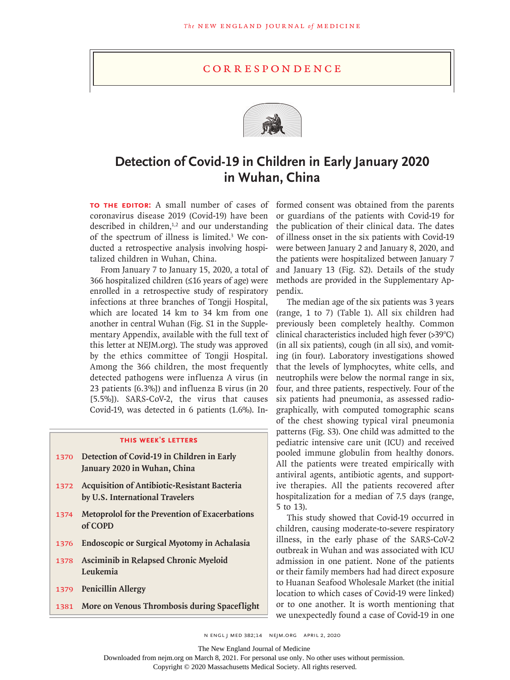## **CORRESPONDENCE**



## **Detection of Covid-19 in Children in Early January 2020 in Wuhan, China**

coronavirus disease 2019 (Covid-19) have been described in children, $1,2$  and our understanding of the spectrum of illness is limited.<sup>3</sup> We conducted a retrospective analysis involving hospitalized children in Wuhan, China.

From January 7 to January 15, 2020, a total of 366 hospitalized children (≤16 years of age) were enrolled in a retrospective study of respiratory infections at three branches of Tongji Hospital, which are located 14 km to 34 km from one another in central Wuhan (Fig. S1 in the Supplementary Appendix, available with the full text of this letter at NEJM.org). The study was approved by the ethics committee of Tongji Hospital. Among the 366 children, the most frequently detected pathogens were influenza A virus (in 23 patients [6.3%]) and influenza B virus (in 20 [5.5%]). SARS-CoV-2, the virus that causes Covid-19, was detected in 6 patients (1.6%). In-

## **this week's letters**

- 1370 **Detection of Covid-19 in Children in Early January 2020 in Wuhan, China**
- 1372 **Acquisition of Antibiotic-Resistant Bacteria by U.S. International Travelers**
- 1374 **Metoprolol for the Prevention of Exacerbations of COPD**
- 1376 **Endoscopic or Surgical Myotomy in Achalasia**
- 1378 **Asciminib in Relapsed Chronic Myeloid Leukemia**
- 1379 **Penicillin Allergy**
- 1381 **More on Venous Thrombosis during Spaceflight**

**To the Editor:** A small number of cases of formed consent was obtained from the parents or guardians of the patients with Covid-19 for the publication of their clinical data. The dates of illness onset in the six patients with Covid-19 were between January 2 and January 8, 2020, and the patients were hospitalized between January 7 and January 13 (Fig. S2). Details of the study methods are provided in the Supplementary Appendix.

> The median age of the six patients was 3 years (range, 1 to 7) (Table 1). All six children had previously been completely healthy. Common clinical characteristics included high fever (>39°C) (in all six patients), cough (in all six), and vomiting (in four). Laboratory investigations showed that the levels of lymphocytes, white cells, and neutrophils were below the normal range in six, four, and three patients, respectively. Four of the six patients had pneumonia, as assessed radiographically, with computed tomographic scans of the chest showing typical viral pneumonia patterns (Fig. S3). One child was admitted to the pediatric intensive care unit (ICU) and received pooled immune globulin from healthy donors. All the patients were treated empirically with antiviral agents, antibiotic agents, and supportive therapies. All the patients recovered after hospitalization for a median of 7.5 days (range, 5 to 13).

> This study showed that Covid-19 occurred in children, causing moderate-to-severe respiratory illness, in the early phase of the SARS-CoV-2 outbreak in Wuhan and was associated with ICU admission in one patient. None of the patients or their family members had had direct exposure to Huanan Seafood Wholesale Market (the initial location to which cases of Covid-19 were linked) or to one another. It is worth mentioning that we unexpectedly found a case of Covid-19 in one

The New England Journal of Medicine

Downloaded from nejm.org on March 8, 2021. For personal use only. No other uses without permission.

Copyright © 2020 Massachusetts Medical Society. All rights reserved.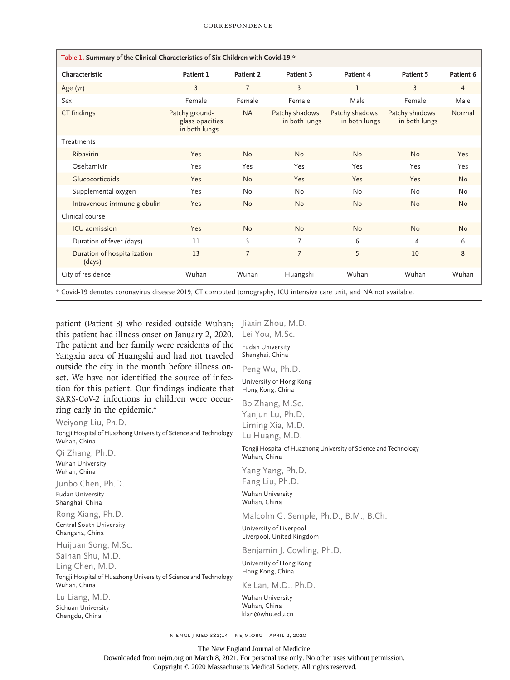| Table 1. Summary of the Clinical Characteristics of Six Children with Covid-19.* |                                                    |                |                                 |                                 |                                 |                |
|----------------------------------------------------------------------------------|----------------------------------------------------|----------------|---------------------------------|---------------------------------|---------------------------------|----------------|
| Characteristic                                                                   | Patient 1                                          | Patient 2      | Patient 3                       | Patient 4                       | Patient 5                       | Patient 6      |
| Age (yr)                                                                         | $\overline{3}$                                     | $\overline{7}$ | $\overline{3}$                  | 1                               | $\overline{3}$                  | $\overline{4}$ |
| Sex                                                                              | Female                                             | Female         | Female                          | Male                            | Female                          | Male           |
| CT findings                                                                      | Patchy ground-<br>glass opacities<br>in both lungs | <b>NA</b>      | Patchy shadows<br>in both lungs | Patchy shadows<br>in both lungs | Patchy shadows<br>in both lungs | Normal         |
| Treatments                                                                       |                                                    |                |                                 |                                 |                                 |                |
| Ribavirin                                                                        | Yes                                                | <b>No</b>      | <b>No</b>                       | <b>No</b>                       | <b>No</b>                       | Yes            |
| Oseltamivir                                                                      | Yes                                                | Yes            | Yes                             | Yes                             | Yes                             | Yes            |
| Glucocorticoids                                                                  | Yes                                                | <b>No</b>      | Yes                             | Yes                             | Yes                             | <b>No</b>      |
| Supplemental oxygen                                                              | Yes                                                | <b>No</b>      | <b>No</b>                       | <b>No</b>                       | <b>No</b>                       | <b>No</b>      |
| Intravenous immune globulin                                                      | Yes                                                | <b>No</b>      | <b>No</b>                       | <b>No</b>                       | <b>No</b>                       | <b>No</b>      |
| Clinical course                                                                  |                                                    |                |                                 |                                 |                                 |                |
| ICU admission                                                                    | Yes                                                | <b>No</b>      | <b>No</b>                       | <b>No</b>                       | <b>No</b>                       | <b>No</b>      |
| Duration of fever (days)                                                         | 11                                                 | 3              | 7                               | 6                               | $\overline{4}$                  | 6              |
| Duration of hospitalization<br>(days)                                            | 13                                                 | $\overline{7}$ | $\overline{7}$                  | 5                               | 10                              | 8              |
| City of residence                                                                | Wuhan                                              | Wuhan          | Huangshi                        | Wuhan                           | Wuhan                           | Wuhan          |

Fudan University Shanghai, China Peng Wu, Ph.D. University of Hong Kong Hong Kong, China Bo Zhang, M.Sc.

\* Covid-19 denotes coronavirus disease 2019, CT computed tomography, ICU intensive care unit, and NA not available.

patient (Patient 3) who resided outside Wuhan; Jiaxin Zhou, M.D. this patient had illness onset on January 2, 2020. The patient and her family were residents of the Yangxin area of Huangshi and had not traveled outside the city in the month before illness onset. We have not identified the source of infection for this patient. Our findings indicate that SARS-CoV-2 infections in children were occurring early in the epidemic.4 Lei You, M.Sc.

Weiyong Liu, Ph.D. Tongji Hospital of Huazhong University of Science and Technology Wuhan, China Qi Zhang, Ph.D. Wuhan University Wuhan, China Junbo Chen, Ph.D. Fudan University Shanghai, China Rong Xiang, Ph.D. Central South University Changsha, China Huijuan Song, M.Sc. Sainan Shu, M.D. Ling Chen, M.D. Tongji Hospital of Huazhong University of Science and Technology Wuhan, China Lu Liang, M.D. Sichuan University Chengdu, China Yanjun Lu, Ph.D. Liming Xia, M.D. Lu Huang, M.D. Tongji Hospital of Huazhong University of Science and Technology Wuhan, China Yang Yang, Ph.D. Fang Liu, Ph.D. Wuhan University Wuhan, China Malcolm G. Semple, Ph.D., B.M., B.Ch. University of Liverpool Liverpool, United Kingdom Benjamin J. Cowling, Ph.D. University of Hong Kong Hong Kong, China Ke Lan, M.D., Ph.D. Wuhan University Wuhan, China klan@whu.edu.cn

n engl j med 382;14 nejm.org April 2, 2020

The New England Journal of Medicine

Downloaded from nejm.org on March 8, 2021. For personal use only. No other uses without permission. Copyright © 2020 Massachusetts Medical Society. All rights reserved.